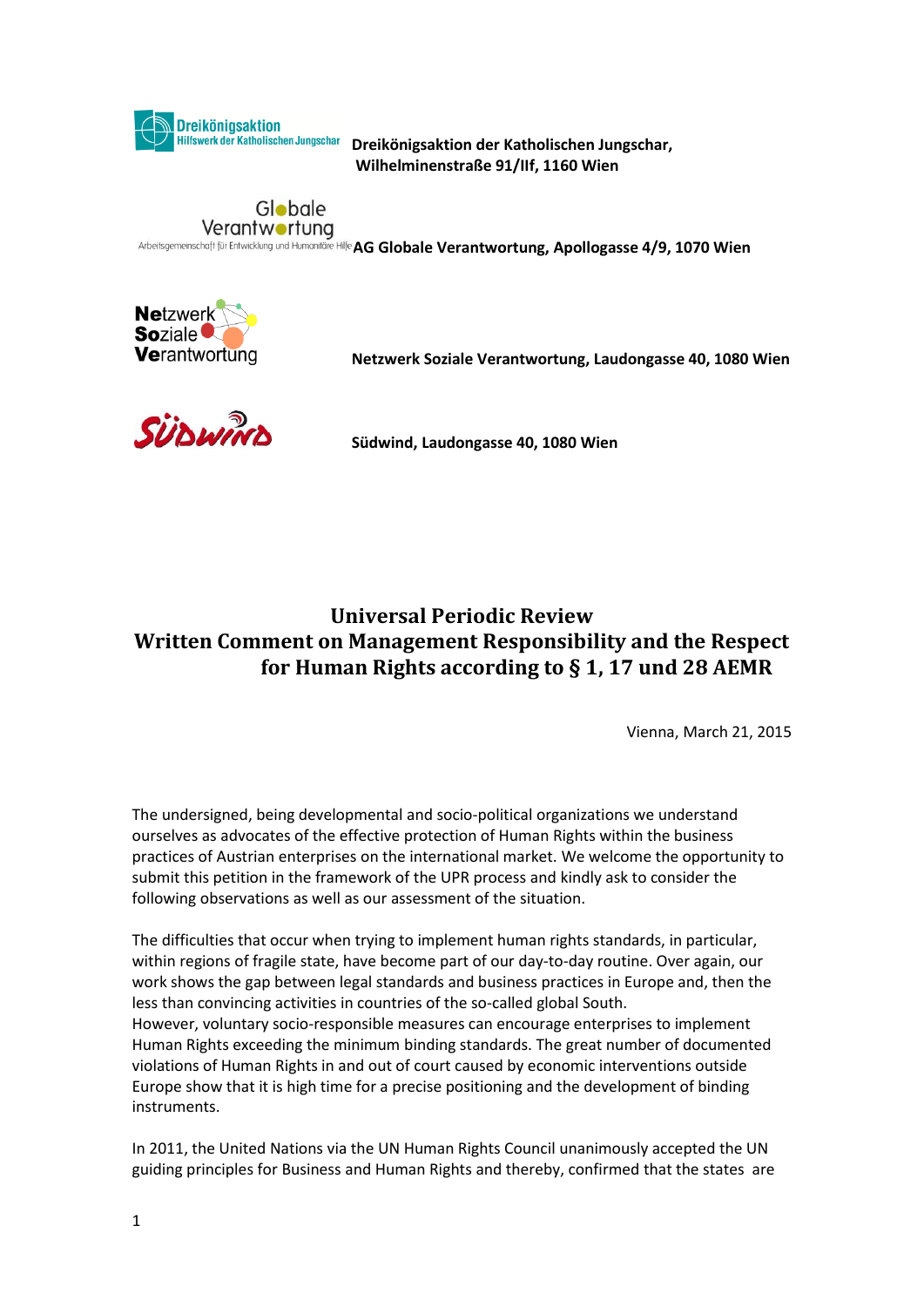

**Dreikönigsaktion der Katholischen Jungschar, Wilhelminenstraße 91/IIf, 1160 Wien**

## Globale Verantwortung

Arbeitsgemeinschaft für Entwicklung und Humanitäre Hilfe AG Globale Verantwortung, Apollogasse 4/9, 1070 Wien



**Netzwerk Soziale Verantwortung, Laudongasse 40, 1080 Wien**



**Südwind, Laudongasse 40, 1080 Wien**

## **Universal Periodic Review Written Comment on Management Responsibility and the Respect for Human Rights according to § 1, 17 und 28 AEMR**

Vienna, March 21, 2015

The undersigned, being developmental and socio-political organizations we understand ourselves as advocates of the effective protection of Human Rights within the business practices of Austrian enterprises on the international market. We welcome the opportunity to submit this petition in the framework of the UPR process and kindly ask to consider the following observations as well as our assessment of the situation.

The difficulties that occur when trying to implement human rights standards, in particular, within regions of fragile state, have become part of our day-to-day routine. Over again, our work shows the gap between legal standards and business practices in Europe and, then the less than convincing activities in countries of the so-called global South. However, voluntary socio-responsible measures can encourage enterprises to implement Human Rights exceeding the minimum binding standards. The great number of documented violations of Human Rights in and out of court caused by economic interventions outside Europe show that it is high time for a precise positioning and the development of binding instruments.

In 2011, the United Nations via the UN Human Rights Council unanimously accepted the UN guiding principles for Business and Human Rights and thereby, confirmed that the states are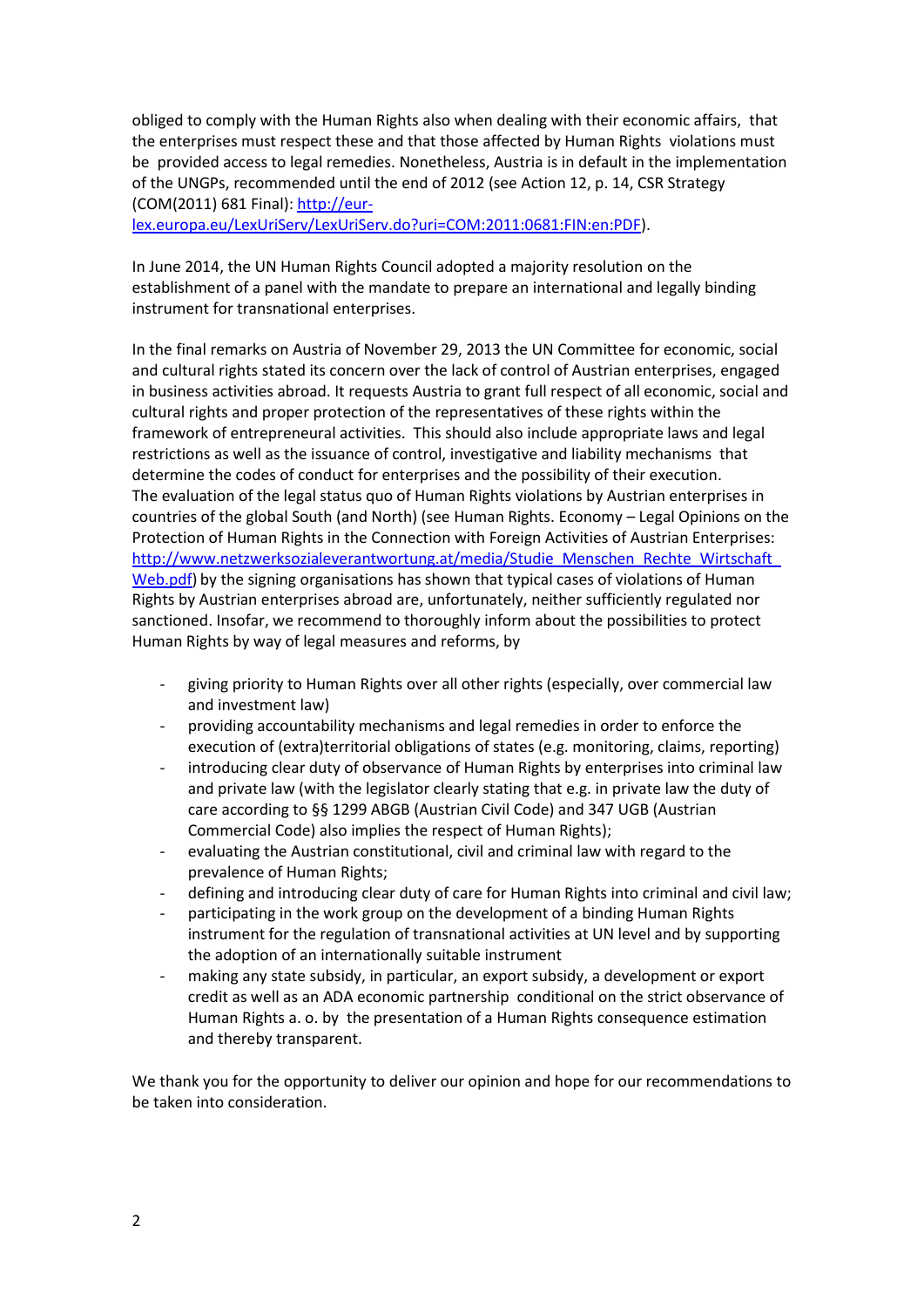obliged to comply with the Human Rights also when dealing with their economic affairs, that the enterprises must respect these and that those affected by Human Rights violations must be provided access to legal remedies. Nonetheless, Austria is in default in the implementation of the UNGPs, recommended until the end of 2012 (see Action 12, p. 14, CSR Strategy (COM(2011) 681 Final)[: http://eur-](http://eur-lex.europa.eu/LexUriServ/LexUriServ.do?uri=COM:2011:0681:FIN:en:PDF)

[lex.europa.eu/LexUriServ/LexUriServ.do?uri=COM:2011:0681:FIN:en:PDF\)](http://eur-lex.europa.eu/LexUriServ/LexUriServ.do?uri=COM:2011:0681:FIN:en:PDF).

In June 2014, the UN Human Rights Council adopted a majority resolution on the establishment of a panel with the mandate to prepare an international and legally binding instrument for transnational enterprises.

In the final remarks on Austria of November 29, 2013 the UN Committee for economic, social and cultural rights stated its concern over the lack of control of Austrian enterprises, engaged in business activities abroad. It requests Austria to grant full respect of all economic, social and cultural rights and proper protection of the representatives of these rights within the framework of entrepreneural activities. This should also include appropriate laws and legal restrictions as well as the issuance of control, investigative and liability mechanisms that determine the codes of conduct for enterprises and the possibility of their execution. The evaluation of the legal status quo of Human Rights violations by Austrian enterprises in countries of the global South (and North) (see Human Rights. Economy – Legal Opinions on the Protection of Human Rights in the Connection with Foreign Activities of Austrian Enterprises: http://www.netzwerksozialeverantwortung.at/media/Studie\_Menschen\_Rechte\_Wirtschaft [Web.pdf\)](http://www.netzwerksozialeverantwortung.at/media/Studie_Menschen_Rechte_Wirtschaft_Web.pdf) by the signing organisations has shown that typical cases of violations of Human Rights by Austrian enterprises abroad are, unfortunately, neither sufficiently regulated nor sanctioned. Insofar, we recommend to thoroughly inform about the possibilities to protect Human Rights by way of legal measures and reforms, by

- giving priority to Human Rights over all other rights (especially, over commercial law and investment law)
- providing accountability mechanisms and legal remedies in order to enforce the execution of (extra)territorial obligations of states (e.g. monitoring, claims, reporting)
- introducing clear duty of observance of Human Rights by enterprises into criminal law and private law (with the legislator clearly stating that e.g. in private law the duty of care according to §§ 1299 ABGB (Austrian Civil Code) and 347 UGB (Austrian Commercial Code) also implies the respect of Human Rights);
- evaluating the Austrian constitutional, civil and criminal law with regard to the prevalence of Human Rights;
- defining and introducing clear duty of care for Human Rights into criminal and civil law;
- participating in the work group on the development of a binding Human Rights instrument for the regulation of transnational activities at UN level and by supporting the adoption of an internationally suitable instrument
- making any state subsidy, in particular, an export subsidy, a development or export credit as well as an ADA economic partnership conditional on the strict observance of Human Rights a. o. by the presentation of a Human Rights consequence estimation and thereby transparent.

We thank you for the opportunity to deliver our opinion and hope for our recommendations to be taken into consideration.